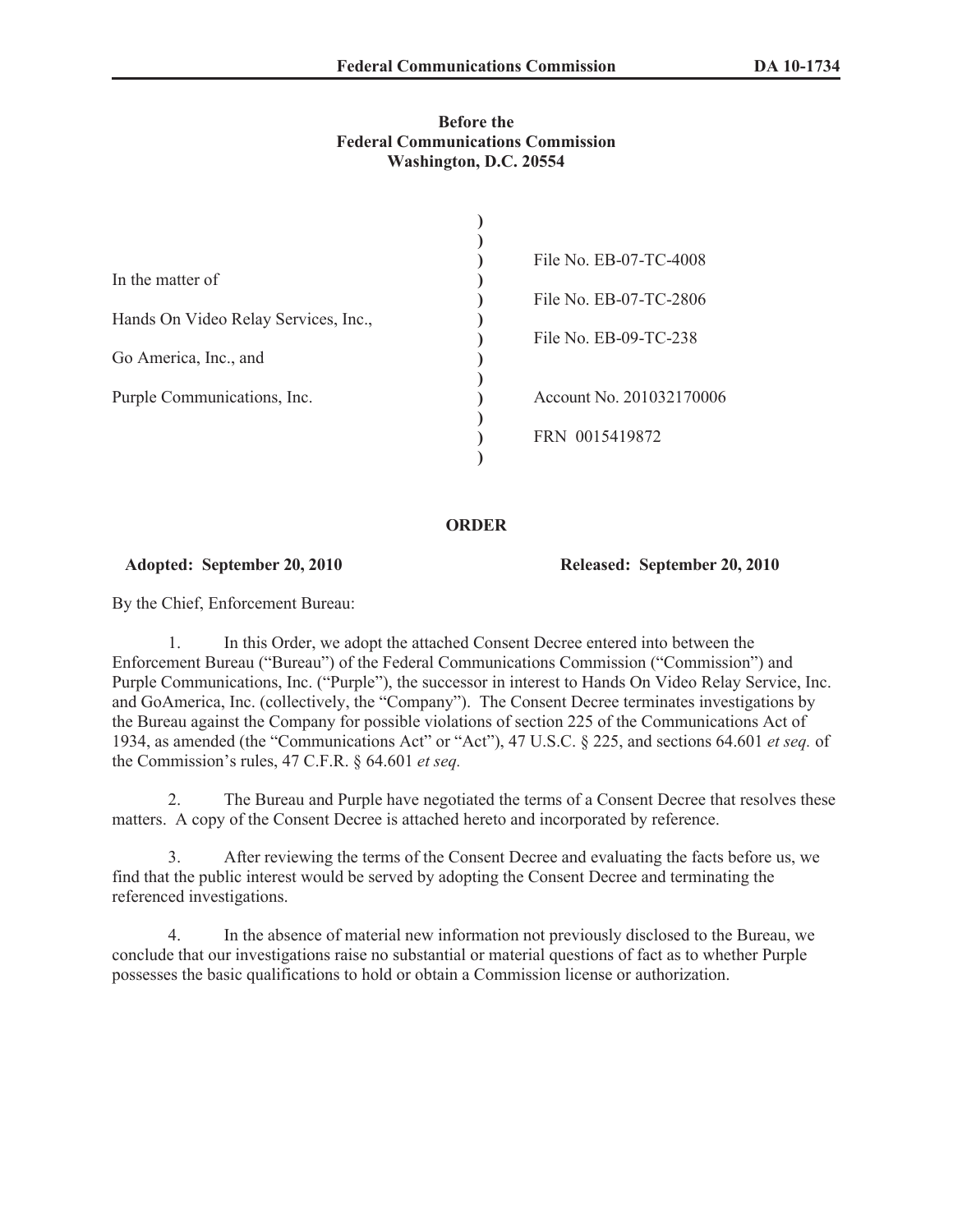## **Before the Federal Communications Commission Washington, D.C. 20554**

|                                      | File No. EB-07-TC-4008   |  |
|--------------------------------------|--------------------------|--|
| In the matter of                     |                          |  |
|                                      | File No. EB-07-TC-2806   |  |
| Hands On Video Relay Services, Inc., |                          |  |
|                                      | File No. EB-09-TC-238    |  |
| Go America, Inc., and                |                          |  |
| Purple Communications, Inc.          | Account No. 201032170006 |  |
|                                      |                          |  |
|                                      | FRN 0015419872           |  |
|                                      |                          |  |

## **ORDER**

## **Adopted: September 20, 2010 Released: September 20, 2010**

By the Chief, Enforcement Bureau:

1. In this Order, we adopt the attached Consent Decree entered into between the Enforcement Bureau ("Bureau") of the Federal Communications Commission ("Commission") and Purple Communications, Inc. ("Purple"), the successor in interest to Hands On Video Relay Service, Inc. and GoAmerica, Inc. (collectively, the "Company"). The Consent Decree terminates investigations by the Bureau against the Company for possible violations of section 225 of the Communications Act of 1934, as amended (the "Communications Act" or "Act"), 47 U.S.C. § 225, and sections 64.601 *et seq.* of the Commission's rules, 47 C.F.R. § 64.601 *et seq.*

2. The Bureau and Purple have negotiated the terms of a Consent Decree that resolves these matters. A copy of the Consent Decree is attached hereto and incorporated by reference.

3. After reviewing the terms of the Consent Decree and evaluating the facts before us, we find that the public interest would be served by adopting the Consent Decree and terminating the referenced investigations.

4. In the absence of material new information not previously disclosed to the Bureau, we conclude that our investigations raise no substantial or material questions of fact as to whether Purple possesses the basic qualifications to hold or obtain a Commission license or authorization.